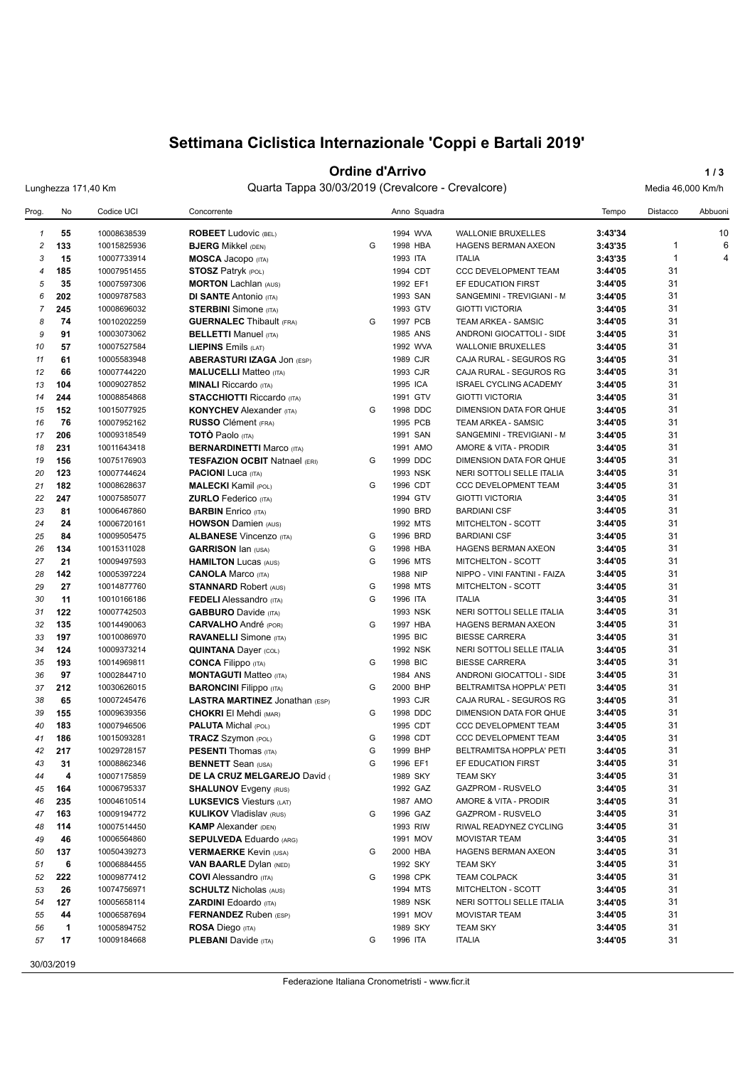# **Settimana Ciclistica Internazionale 'Coppi e Bartali 2019'**

### **Ordine d'Arrivo 1/3**

Lunghezza 171,40 Km Quarta Tappa 30/03/2019 (Crevalcore - Crevalcore) Media 46,000 Km/h

| Prog.          | No                   | Codice UCI  | Concorrente                           |   | Anno Squadra |                               | Tempo   | Distacco     | Abbuoni |
|----------------|----------------------|-------------|---------------------------------------|---|--------------|-------------------------------|---------|--------------|---------|
| $\mathbf{1}$   | 55                   | 10008638539 | <b>ROBEET</b> Ludovic (BEL)           |   | 1994 WVA     | <b>WALLONIE BRUXELLES</b>     | 3:43'34 |              | 10      |
| $\overline{c}$ | 133                  | 10015825936 | <b>BJERG Mikkel (DEN)</b>             | G | 1998 HBA     | <b>HAGENS BERMAN AXEON</b>    | 3:43'35 | $\mathbf{1}$ | 6       |
| 3              | 15                   | 10007733914 | <b>MOSCA Jacopo</b> (ITA)             |   | 1993 ITA     | <b>ITALIA</b>                 | 3:43'35 | $\mathbf{1}$ | 4       |
| $\overline{4}$ | 185                  | 10007951455 | <b>STOSZ Patryk (POL)</b>             |   | 1994 CDT     | <b>CCC DEVELOPMENT TEAM</b>   | 3:44'05 | 31           |         |
| 5              | 35                   | 10007597306 | <b>MORTON Lachlan (AUS)</b>           |   | 1992 EF1     | EF EDUCATION FIRST            | 3:44'05 | 31           |         |
| 6              | 202                  | 10009787583 | <b>DI SANTE Antonio (ITA)</b>         |   | 1993 SAN     | SANGEMINI - TREVIGIANI - M    | 3:44'05 | 31           |         |
| $\overline{7}$ | 245                  | 10008696032 | <b>STERBINI</b> Simone (ITA)          |   | 1993 GTV     | <b>GIOTTI VICTORIA</b>        | 3:44'05 | 31           |         |
| 8              | 74                   | 10010202259 | <b>GUERNALEC</b> Thibault (FRA)       | G | 1997 PCB     | TEAM ARKEA - SAMSIC           | 3:44'05 | 31           |         |
| 9              | 91                   | 10003073062 | <b>BELLETTI Manuel (ITA)</b>          |   | 1985 ANS     | ANDRONI GIOCATTOLI - SIDE     | 3:44'05 | 31           |         |
| 10             | 57                   | 10007527584 | <b>LIEPINS Emils (LAT)</b>            |   | 1992 WVA     | <b>WALLONIE BRUXELLES</b>     | 3:44'05 | 31           |         |
| 11             | 61                   | 10005583948 | <b>ABERASTURI IZAGA JON (ESP)</b>     |   | 1989 CJR     | CAJA RURAL - SEGUROS RG       | 3:44'05 | 31           |         |
| 12             | 66                   | 10007744220 | <b>MALUCELLI Matteo (ITA)</b>         |   | 1993 CJR     | CAJA RURAL - SEGUROS RG       | 3:44'05 | 31           |         |
| 13             | 104                  | 10009027852 | <b>MINALI Riccardo</b> (ITA)          |   | 1995 ICA     | <b>ISRAEL CYCLING ACADEMY</b> | 3:44'05 | 31           |         |
| 14             | 244                  | 10008854868 | <b>STACCHIOTTI Riccardo (ITA)</b>     |   | 1991 GTV     | <b>GIOTTI VICTORIA</b>        | 3:44'05 | 31           |         |
| 15             | 152                  | 10015077925 | <b>KONYCHEV</b> Alexander (ITA)       | G | 1998 DDC     | DIMENSION DATA FOR QHUE       | 3:44'05 | 31           |         |
| 16             | 76                   | 10007952162 | <b>RUSSO</b> Clément (FRA)            |   | 1995 PCB     | TEAM ARKEA - SAMSIC           | 3:44'05 | 31           |         |
| 17             | 206                  | 10009318549 | <b>TOTO Paolo</b> (ITA)               |   | 1991 SAN     | SANGEMINI - TREVIGIANI - M    | 3:44'05 | 31           |         |
| 18             | 231                  | 10011643418 | <b>BERNARDINETTI Marco (ITA)</b>      |   | 1991 AMO     | AMORE & VITA - PRODIR         | 3:44'05 | 31           |         |
| 19             | 156                  | 10075176903 | <b>TESFAZION OCBIT Natnael (ERI)</b>  | G | 1999 DDC     | DIMENSION DATA FOR QHUE       | 3:44'05 | 31           |         |
| 20             | 123                  | 10007744624 | <b>PACIONI</b> Luca (ITA)             |   | 1993 NSK     | NERI SOTTOLI SELLE ITALIA     | 3:44'05 | 31           |         |
| 21             | 182                  | 10008628637 | <b>MALECKI</b> Kamil (POL)            | G | 1996 CDT     | <b>CCC DEVELOPMENT TEAM</b>   | 3:44'05 | 31           |         |
| 22             | 247                  | 10007585077 | <b>ZURLO</b> Federico (ITA)           |   | 1994 GTV     | <b>GIOTTI VICTORIA</b>        | 3:44'05 | 31           |         |
| 23             | 81                   | 10006467860 | <b>BARBIN</b> Enrico (ITA)            |   | 1990 BRD     | <b>BARDIANI CSF</b>           | 3:44'05 | 31           |         |
| 24             | 24                   | 10006720161 | <b>HOWSON Damien (AUS)</b>            |   | 1992 MTS     | <b>MITCHELTON - SCOTT</b>     | 3:44'05 | 31           |         |
| 25             | 84                   | 10009505475 | <b>ALBANESE Vincenzo (ITA)</b>        | G | 1996 BRD     | <b>BARDIANI CSF</b>           | 3:44'05 | 31           |         |
| 26             | 134                  | 10015311028 | <b>GARRISON Ian (USA)</b>             | G | 1998 HBA     | <b>HAGENS BERMAN AXEON</b>    | 3:44'05 | 31           |         |
| 27             | 21                   | 10009497593 | <b>HAMILTON Lucas (AUS)</b>           | G | 1996 MTS     | MITCHELTON - SCOTT            | 3:44'05 | 31           |         |
| 28             | 142                  | 10005397224 | <b>CANOLA Marco (ITA)</b>             |   | 1988 NIP     | NIPPO - VINI FANTINI - FAIZA  | 3:44'05 | 31           |         |
| 29             | 27                   | 10014877760 | <b>STANNARD Robert (AUS)</b>          | G | 1998 MTS     | MITCHELTON - SCOTT            | 3:44'05 | 31           |         |
| 30             | 11                   | 10010166186 | <b>FEDELI</b> Alessandro (ITA)        | G | 1996 ITA     | <b>ITALIA</b>                 | 3:44'05 | 31           |         |
| 31             | 122                  | 10007742503 |                                       |   | 1993 NSK     | NERI SOTTOLI SELLE ITALIA     | 3:44'05 | 31           |         |
|                |                      |             | <b>GABBURO</b> Davide (ITA)           | G |              |                               |         | 31           |         |
| 32             | 135                  | 10014490063 | <b>CARVALHO</b> André (POR)           |   | 1997 HBA     | <b>HAGENS BERMAN AXEON</b>    | 3:44'05 | 31           |         |
| 33             | 197                  | 10010086970 | <b>RAVANELLI</b> Simone (ITA)         |   | 1995 BIC     | <b>BIESSE CARRERA</b>         | 3:44'05 |              |         |
| 34             | 124                  | 10009373214 | <b>QUINTANA Dayer (COL)</b>           |   | 1992 NSK     | NERI SOTTOLI SELLE ITALIA     | 3:44'05 | 31           |         |
| 35             | 193                  | 10014969811 | <b>CONCA Filippo</b> (ITA)            | G | 1998 BIC     | <b>BIESSE CARRERA</b>         | 3:44'05 | 31           |         |
| 36             | 97                   | 10002844710 | <b>MONTAGUTI Matteo (ITA)</b>         |   | 1984 ANS     | ANDRONI GIOCATTOLI - SIDE     | 3:44'05 | 31           |         |
| 37             | 212                  | 10030626015 | <b>BARONCINI</b> Filippo (ITA)        | G | 2000 BHP     | BELTRAMITSA HOPPLA' PETI      | 3:44'05 | 31           |         |
| 38             | 65                   | 10007245476 | <b>LASTRA MARTINEZ Jonathan (ESP)</b> |   | 1993 CJR     | CAJA RURAL - SEGUROS RG       | 3:44'05 | 31           |         |
| 39             | 155                  | 10009639356 | <b>CHOKRI El Mehdi (MAR)</b>          | G | 1998 DDC     | DIMENSION DATA FOR QHUE       | 3:44'05 | 31           |         |
| 40             | 183                  | 10007946506 | <b>PALUTA Michal (POL)</b>            |   | 1995 CDT     | CCC DEVELOPMENT TEAM          | 3:44'05 | 31           |         |
| 41             | 186                  | 10015093281 | <b>TRACZ Szymon (POL)</b>             | G | 1998 CDT     | CCC DEVELOPMENT TEAM          | 3:44'05 | 31           |         |
| 42             | 217                  | 10029728157 | <b>PESENTI Thomas (ITA)</b>           | G | 1999 BHP     | BELTRAMITSA HOPPLA' PETI      | 3:44'05 | 31           |         |
| 43             | 31                   | 10008862346 | <b>BENNETT</b> Sean (USA)             | G | 1996 EF1     | EF EDUCATION FIRST            | 3:44'05 | 31           |         |
| 44             | 4                    | 10007175859 | DE LA CRUZ MELGAREJO David (          |   | 1989 SKY     | <b>TEAM SKY</b>               | 3:44'05 | 31           |         |
| 45             | 164                  | 10006795337 | <b>SHALUNOV</b> Evgeny (RUS)          |   | 1992 GAZ     | <b>GAZPROM - RUSVELO</b>      | 3:44'05 | 31           |         |
| 46             | 235                  | 10004610514 | <b>LUKSEVICS Viesturs (LAT)</b>       |   | 1987 AMO     | AMORE & VITA - PRODIR         | 3:44'05 | 31           |         |
| 47             | 163                  | 10009194772 | <b>KULIKOV Vladislav (RUS)</b>        | G | 1996 GAZ     | GAZPROM - RUSVELO             | 3:44'05 | 31           |         |
| 48             | 114                  | 10007514450 | <b>KAMP</b> Alexander (DEN)           |   | 1993 RIW     | RIWAL READYNEZ CYCLING        | 3:44'05 | 31           |         |
| 49             | 46                   | 10006564860 | <b>SEPULVEDA Eduardo (ARG)</b>        |   | 1991 MOV     | <b>MOVISTAR TEAM</b>          | 3:44'05 | 31           |         |
| 50             | 137                  | 10050439273 | <b>VERMAERKE Kevin (USA)</b>          | G | 2000 HBA     | HAGENS BERMAN AXEON           | 3:44'05 | 31           |         |
| 51             | 6                    | 10006884455 | <b>VAN BAARLE Dylan (NED)</b>         |   | 1992 SKY     | <b>TEAM SKY</b>               | 3:44'05 | 31           |         |
| 52             | 222                  | 10009877412 | <b>COVI</b> Alessandro (ITA)          | G | 1998 CPK     | <b>TEAM COLPACK</b>           | 3:44'05 | 31           |         |
| 53             | 26                   | 10074756971 | <b>SCHULTZ Nicholas (AUS)</b>         |   | 1994 MTS     | MITCHELTON - SCOTT            | 3:44'05 | 31           |         |
| 54             | 127                  | 10005658114 | <b>ZARDINI</b> Edoardo (ITA)          |   | 1989 NSK     | NERI SOTTOLI SELLE ITALIA     | 3:44'05 | 31           |         |
| 55             | 44                   | 10006587694 | <b>FERNANDEZ</b> Ruben (ESP)          |   | 1991 MOV     | <b>MOVISTAR TEAM</b>          | 3:44'05 | 31           |         |
| 56             | $\blacktriangleleft$ | 10005894752 | <b>ROSA Diego (ITA)</b>               |   | 1989 SKY     | <b>TEAM SKY</b>               | 3:44'05 | 31           |         |
| 57             | 17                   | 10009184668 | <b>PLEBANI</b> Davide (ITA)           | G | 1996 ITA     | <b>ITALIA</b>                 | 3:44'05 | 31           |         |
|                |                      |             |                                       |   |              |                               |         |              |         |

30/03/2019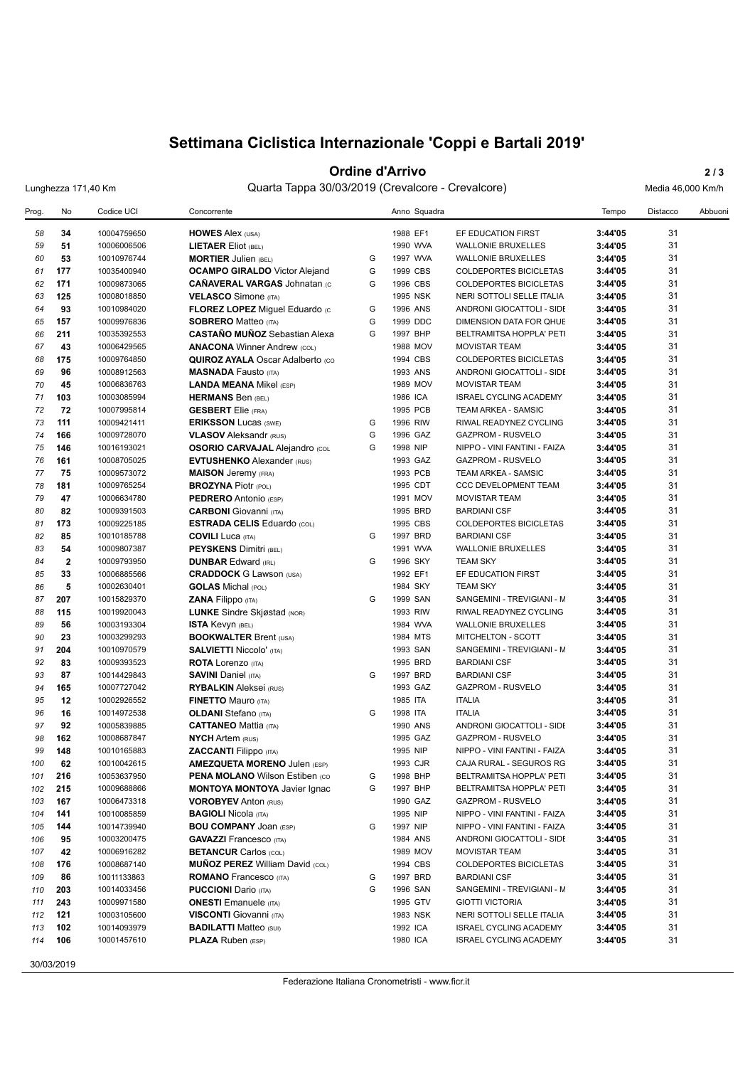# **Settimana Ciclistica Internazionale 'Coppi e Bartali 2019'**

### **Ordine d'Arrivo** 2/3

Lunghezza 171,40 Km Quarta Tappa 30/03/2019 (Crevalcore - Crevalcore) Media 46,000 Km/h

| Prog. | No                      | Codice UCI  | Concorrente                             |   | Anno Squadra |                               | Tempo   | Distacco | Abbuoni |
|-------|-------------------------|-------------|-----------------------------------------|---|--------------|-------------------------------|---------|----------|---------|
| 58    | 34                      | 10004759650 | <b>HOWES Alex (USA)</b>                 |   | 1988 EF1     | EF EDUCATION FIRST            | 3:44'05 | 31       |         |
| 59    | 51                      | 10006006506 | <b>LIETAER Eliot (BEL)</b>              |   | 1990 WVA     | <b>WALLONIE BRUXELLES</b>     | 3:44'05 | 31       |         |
| 60    | 53                      | 10010976744 | <b>MORTIER Julien (BEL)</b>             | G | 1997 WVA     | <b>WALLONIE BRUXELLES</b>     | 3:44'05 | 31       |         |
| 61    | 177                     | 10035400940 | <b>OCAMPO GIRALDO</b> Victor Alejand    | G | 1999 CBS     | COLDEPORTES BICICLETAS        | 3:44'05 | 31       |         |
| 62    | 171                     | 10009873065 | <b>CAÑAVERAL VARGAS Johnatan (c)</b>    | G | 1996 CBS     | <b>COLDEPORTES BICICLETAS</b> | 3:44'05 | 31       |         |
| 63    | 125                     | 10008018850 | <b>VELASCO Simone (ITA)</b>             |   | 1995 NSK     | NERI SOTTOLI SELLE ITALIA     | 3:44'05 | 31       |         |
| 64    | 93                      | 10010984020 | FLOREZ LOPEZ Miguel Eduardo (c          | G | 1996 ANS     | ANDRONI GIOCATTOLI - SIDE     | 3:44'05 | 31       |         |
| 65    | 157                     | 10009976836 | <b>SOBRERO Matteo (ITA)</b>             | G | 1999 DDC     | DIMENSION DATA FOR QHUE       | 3:44'05 | 31       |         |
| 66    | 211                     | 10035392553 | <b>CASTAÑO MUÑOZ Sebastian Alexa</b>    | G | 1997 BHP     | BELTRAMITSA HOPPLA' PETI      | 3:44'05 | 31       |         |
| 67    | 43                      | 10006429565 | <b>ANACONA Winner Andrew (COL)</b>      |   | 1988 MOV     | <b>MOVISTAR TEAM</b>          | 3:44'05 | 31       |         |
| 68    | 175                     | 10009764850 | <b>QUIROZ AYALA Oscar Adalberto (CO</b> |   | 1994 CBS     | <b>COLDEPORTES BICICLETAS</b> | 3:44'05 | 31       |         |
| 69    | 96                      | 10008912563 | <b>MASNADA Fausto (ITA)</b>             |   | 1993 ANS     | ANDRONI GIOCATTOLI - SIDE     | 3:44'05 | 31       |         |
| 70    | 45                      | 10006836763 | <b>LANDA MEANA Mikel (ESP)</b>          |   | 1989 MOV     | <b>MOVISTAR TEAM</b>          | 3:44'05 | 31       |         |
| 71    | 103                     | 10003085994 | <b>HERMANS Ben (BEL)</b>                |   | 1986 ICA     | <b>ISRAEL CYCLING ACADEMY</b> | 3:44'05 | 31       |         |
| 72    | 72                      | 10007995814 | <b>GESBERT</b> Elie (FRA)               |   | 1995 PCB     | TEAM ARKEA - SAMSIC           | 3:44'05 | 31       |         |
| 73    | 111                     | 10009421411 | <b>ERIKSSON Lucas (SWE)</b>             | G | 1996 RIW     | RIWAL READYNEZ CYCLING        | 3:44'05 | 31       |         |
| 74    | 166                     | 10009728070 | <b>VLASOV</b> Aleksandr (RUS)           | G | 1996 GAZ     | <b>GAZPROM - RUSVELO</b>      | 3:44'05 | 31       |         |
| 75    | 146                     | 10016193021 | <b>OSORIO CARVAJAL Alejandro (COL</b>   | G | 1998 NIP     | NIPPO - VINI FANTINI - FAIZA  | 3:44'05 | 31       |         |
| 76    | 161                     | 10008705025 | <b>EVTUSHENKO Alexander (RUS)</b>       |   | 1993 GAZ     | <b>GAZPROM - RUSVELO</b>      | 3:44'05 | 31       |         |
| 77    | 75                      | 10009573072 | <b>MAISON</b> Jeremy (FRA)              |   | 1993 PCB     | <b>TEAM ARKEA - SAMSIC</b>    | 3:44'05 | 31       |         |
| 78    | 181                     | 10009765254 | <b>BROZYNA Piotr (POL)</b>              |   | 1995 CDT     | CCC DEVELOPMENT TEAM          | 3:44'05 | 31       |         |
| 79    | 47                      | 10006634780 | PEDRERO Antonio (ESP)                   |   | 1991 MOV     | <b>MOVISTAR TEAM</b>          | 3:44'05 | 31       |         |
| 80    | 82                      | 10009391503 | <b>CARBONI</b> Giovanni (ITA)           |   | 1995 BRD     | <b>BARDIANI CSF</b>           | 3:44'05 | 31       |         |
| 81    | 173                     | 10009225185 | <b>ESTRADA CELIS Eduardo (COL)</b>      |   | 1995 CBS     | <b>COLDEPORTES BICICLETAS</b> | 3:44'05 | 31       |         |
| 82    | 85                      | 10010185788 | <b>COVILI</b> Luca (ITA)                | G | 1997 BRD     | <b>BARDIANI CSF</b>           | 3:44'05 | 31       |         |
| 83    | 54                      | 10009807387 | <b>PEYSKENS Dimitri (BEL)</b>           |   | 1991 WVA     | <b>WALLONIE BRUXELLES</b>     | 3:44'05 | 31       |         |
| 84    | $\overline{\mathbf{2}}$ | 10009793950 | <b>DUNBAR Edward (IRL)</b>              | G | 1996 SKY     | <b>TEAM SKY</b>               | 3:44'05 | 31       |         |
| 85    | 33                      | 10006885566 | <b>CRADDOCK</b> G Lawson (USA)          |   | 1992 EF1     | EF EDUCATION FIRST            | 3:44'05 | 31       |         |
| 86    | 5                       | 10002630401 | <b>GOLAS</b> Michal (POL)               |   | 1984 SKY     | <b>TEAM SKY</b>               | 3:44'05 | 31       |         |
| 87    | 207                     | 10015829370 | <b>ZANA Filippo</b> (ITA)               | G | 1999 SAN     | SANGEMINI - TREVIGIANI - M    | 3:44'05 | 31       |         |
| 88    | 115                     | 10019920043 | <b>LUNKE</b> Sindre Skjøstad (NOR)      |   | 1993 RIW     | RIWAL READYNEZ CYCLING        | 3:44'05 | 31       |         |
| 89    | 56                      | 10003193304 | ISTA Kevyn (BEL)                        |   | 1984 WVA     | <b>WALLONIE BRUXELLES</b>     | 3:44'05 | 31       |         |
| 90    | 23                      | 10003299293 | <b>BOOKWALTER Brent (USA)</b>           |   | 1984 MTS     | MITCHELTON - SCOTT            | 3:44'05 | 31       |         |
| 91    | 204                     | 10010970579 | <b>SALVIETTI Niccolo' (ITA)</b>         |   | 1993 SAN     | SANGEMINI - TREVIGIANI - M    | 3:44'05 | 31       |         |
| 92    | 83                      | 10009393523 | <b>ROTA</b> Lorenzo (ITA)               |   | 1995 BRD     | <b>BARDIANI CSF</b>           | 3:44'05 | 31       |         |
| 93    | 87                      | 10014429843 | <b>SAVINI Daniel (ITA)</b>              | G | 1997 BRD     | <b>BARDIANI CSF</b>           | 3:44'05 | 31       |         |
| 94    | 165                     | 10007727042 | <b>RYBALKIN</b> Aleksei (RUS)           |   | 1993 GAZ     | <b>GAZPROM - RUSVELO</b>      | 3:44'05 | 31       |         |
| 95    | 12                      | 10002926552 | <b>FINETTO Mauro (ITA)</b>              |   | 1985 ITA     | <b>ITALIA</b>                 | 3:44'05 | 31       |         |
| 96    | 16                      | 10014972538 | <b>OLDANI</b> Stefano (ITA)             | G | 1998 ITA     | <b>ITALIA</b>                 | 3:44'05 | 31       |         |
| 97    | 92                      | 10005839885 | <b>CATTANEO Mattia (ITA)</b>            |   | 1990 ANS     | ANDRONI GIOCATTOLI - SIDE     | 3:44'05 | 31       |         |
| 98    | 162                     | 10008687847 | <b>NYCH Artem (RUS)</b>                 |   | 1995 GAZ     | <b>GAZPROM - RUSVELO</b>      | 3:44'05 | 31       |         |
| 99    | 148                     | 10010165883 | <b>ZACCANTI Filippo</b> (ITA)           |   | 1995 NIP     | NIPPO - VINI FANTINI - FAIZA  | 3:44'05 | 31       |         |
| 100   | 62                      | 10010042615 | <b>AMEZQUETA MORENO Julen (ESP)</b>     |   | 1993 CJR     | CAJA RURAL - SEGUROS RG       | 3:44'05 | 31       |         |
| 101   | 216                     | 10053637950 | <b>PENA MOLANO Wilson Estiben (CO)</b>  | G | 1998 BHP     | BELTRAMITSA HOPPLA' PETI      | 3:44'05 | 31       |         |
| 102   | 215                     | 10009688866 | <b>MONTOYA MONTOYA Javier Ignac</b>     | G | 1997 BHP     | BELTRAMITSA HOPPLA' PETI      | 3:44'05 | 31       |         |
| 103   | 167                     | 10006473318 | <b>VOROBYEV Anton (RUS)</b>             |   | 1990 GAZ     | <b>GAZPROM - RUSVELO</b>      | 3:44'05 | 31       |         |
| 104   | 141                     | 10010085859 | <b>BAGIOLI Nicola (ITA)</b>             |   | 1995 NIP     | NIPPO - VINI FANTINI - FAIZA  | 3:44'05 | 31       |         |
| 105   | 144                     | 10014739940 | <b>BOU COMPANY JOAN (ESP)</b>           | G | 1997 NIP     | NIPPO - VINI FANTINI - FAIZA  | 3:44'05 | 31       |         |
| 106   | 95                      | 10003200475 | <b>GAVAZZI</b> Francesco (ITA)          |   | 1984 ANS     | ANDRONI GIOCATTOLI - SIDE     | 3:44'05 | 31       |         |
| 107   | 42                      | 10006916282 | <b>BETANCUR Carlos (COL)</b>            |   | 1989 MOV     | <b>MOVISTAR TEAM</b>          | 3:44'05 | 31       |         |
| 108   | 176                     | 10008687140 | <b>MUÑOZ PEREZ William David (COL)</b>  |   | 1994 CBS     | COLDEPORTES BICICLETAS        | 3:44'05 | 31       |         |
| 109   | 86                      | 10011133863 | <b>ROMANO</b> Francesco (ITA)           | G | 1997 BRD     | <b>BARDIANI CSF</b>           | 3:44'05 | 31       |         |
| 110   | 203                     | 10014033456 | <b>PUCCIONI</b> Dario (ITA)             | G | 1996 SAN     | SANGEMINI - TREVIGIANI - M    | 3:44'05 | 31       |         |
| 111   | 243                     | 10009971580 | <b>ONESTI</b> Emanuele (ITA)            |   | 1995 GTV     | <b>GIOTTI VICTORIA</b>        | 3:44'05 | 31       |         |
| 112   | 121                     | 10003105600 | <b>VISCONTI</b> Giovanni (ITA)          |   | 1983 NSK     | NERI SOTTOLI SELLE ITALIA     | 3:44'05 | 31       |         |
| 113   | 102                     | 10014093979 | <b>BADILATTI Matteo (SUI)</b>           |   | 1992 ICA     | <b>ISRAEL CYCLING ACADEMY</b> | 3:44'05 | 31       |         |
| 114   | 106                     | 10001457610 | <b>PLAZA Ruben (ESP)</b>                |   | 1980 ICA     | ISRAEL CYCLING ACADEMY        | 3:44'05 | 31       |         |
|       |                         |             |                                         |   |              |                               |         |          |         |

30/03/2019

Federazione Italiana Cronometristi - www.ficr.it